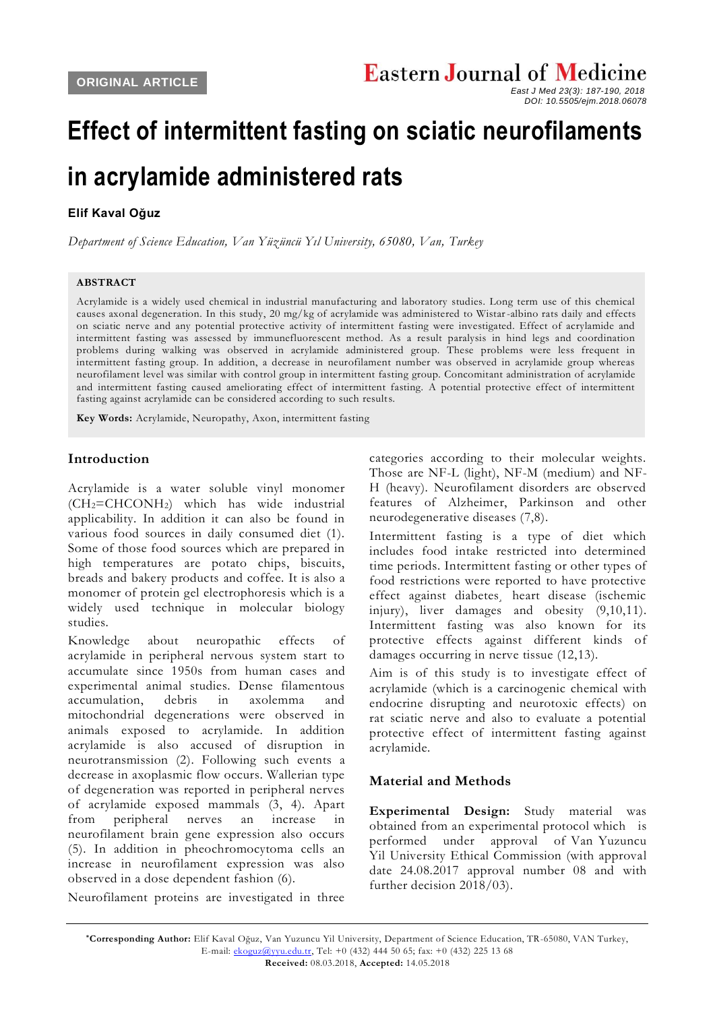# **Effect of intermittent fasting on sciatic neurofilaments in acrylamide administered rats**

## **Elif Kaval Oğuz**

*Department of Science Education, Van Yüzüncü Yıl University, 65080, Van, Turkey*

#### **ABSTRACT**

Acrylamide is a widely used chemical in industrial manufacturing and laboratory studies. Long term use of this chemical causes axonal degeneration. In this study, 20 mg/kg of acrylamide was administered to Wistar-albino rats daily and effects on sciatic nerve and any potential protective activity of intermittent fasting were investigated. Effect of acrylamide and intermittent fasting was assessed by immunefluorescent method. As a result paralysis in hind legs and coordination problems during walking was observed in acrylamide administered group. These problems were less frequent in intermittent fasting group. In addition, a decrease in neurofilament number was observed in acrylamide group whereas neurofilament level was similar with control group in intermittent fasting group. Concomitant administration of acrylamide and intermittent fasting caused ameliorating effect of intermittent fasting. A potential protective effect of intermittent fasting against acrylamide can be considered according to such results.

**Key Words:** Acrylamide, Neuropathy, Axon, intermittent fasting

### **Introduction**

Acrylamide is a water soluble vinyl monomer (CH2=CHCONH2) which has wide industrial applicability. In addition it can also be found in various food sources in daily consumed diet (1). Some of those food sources which are prepared in high temperatures are potato chips, biscuits, breads and bakery products and coffee. It is also a monomer of protein gel electrophoresis which is a widely used technique in molecular biology studies.

Knowledge about neuropathic effects of acrylamide in peripheral nervous system start to accumulate since 1950s from human cases and experimental animal studies. Dense filamentous accumulation, debris in axolemma and mitochondrial degenerations were observed in animals exposed to acrylamide. In addition acrylamide is also accused of disruption in neurotransmission (2). Following such events a decrease in axoplasmic flow occurs. Wallerian type of degeneration was reported in peripheral nerves of acrylamide exposed mammals (3, 4). Apart from peripheral nerves an increase in neurofilament brain gene expression also occurs (5). In addition in pheochromocytoma cells an increase in neurofilament expression was also observed in a dose dependent fashion (6).

Neurofilament proteins are investigated in three

categories according to their molecular weights. Those are NF-L (light), NF-M (medium) and NF-H (heavy). Neurofilament disorders are observed features of Alzheimer, Parkinson and other neurodegenerative diseases (7,8).

Intermittent fasting is a type of diet which includes food intake restricted into determined time periods. Intermittent fasting or other types of food restrictions were reported to have protective effect against diabetes¸ heart disease (ischemic injury), liver damages and obesity (9,10,11). Intermittent fasting was also known for its protective effects against different kinds of damages occurring in nerve tissue (12,13).

Aim is of this study is to investigate effect of acrylamide (which is a carcinogenic chemical with endocrine disrupting and neurotoxic effects) on rat sciatic nerve and also to evaluate a potential protective effect of intermittent fasting against acrylamide.

## **Material and Methods**

**Experimental Design:** Study material was obtained from an experimental protocol which is performed under approval of Van Yuzuncu Yil University Ethical Commission (with approval date 24.08.2017 approval number 08 and with further decision 2018/03).

*East J Med 23(3): 187-190, 2018 DOI: 10.5505/ejm.2018.06078*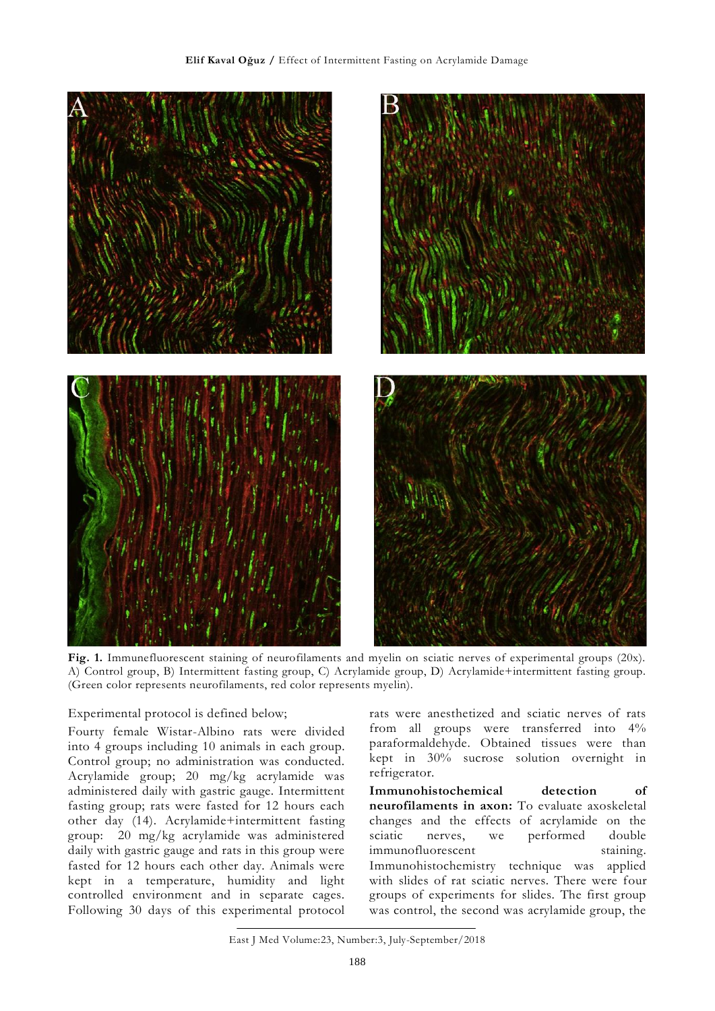

**Fig. 1.** Immunefluorescent staining of neurofilaments and myelin on sciatic nerves of experimental groups (20x). A) Control group, B) Intermittent fasting group, C) Acrylamide group, D) Acrylamide+intermittent fasting group. (Green color represents neurofilaments, red color represents myelin).

#### Experimental protocol is defined below;

Fourty female Wistar-Albino rats were divided into 4 groups including 10 animals in each group. Control group; no administration was conducted. Acrylamide group; 20 mg/kg acrylamide was administered daily with gastric gauge. Intermittent fasting group; rats were fasted for 12 hours each other day (14). Acrylamide+intermittent fasting group: 20 mg/kg acrylamide was administered daily with gastric gauge and rats in this group were fasted for 12 hours each other day. Animals were kept in a temperature, humidity and light controlled environment and in separate cages. Following 30 days of this experimental protocol

rats were anesthetized and sciatic nerves of rats from all groups were transferred into 4% paraformaldehyde. Obtained tissues were than kept in 30% sucrose solution overnight in refrigerator.

**Immunohistochemical detection of neurofilaments in axon:** To evaluate axoskeletal changes and the effects of acrylamide on the sciatic nerves, we performed double immunofluorescent staining. Immunohistochemistry technique was applied with slides of rat sciatic nerves. There were four groups of experiments for slides. The first group was control, the second was acrylamide group, the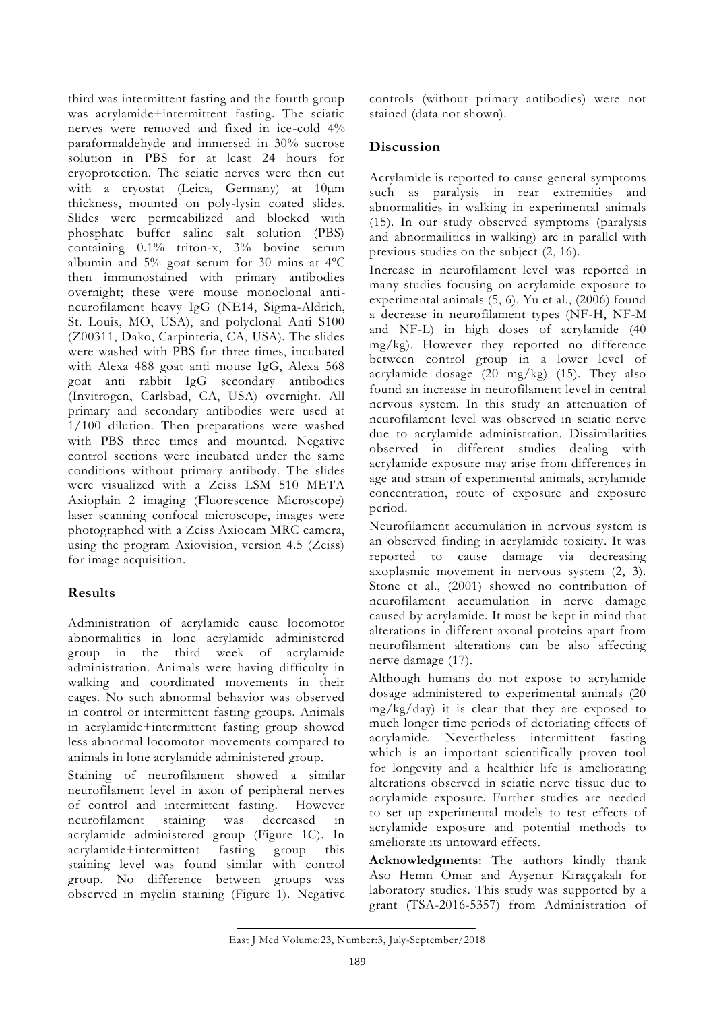third was intermittent fasting and the fourth group was acrylamide+intermittent fasting. The sciatic nerves were removed and fixed in ice-cold 4% paraformaldehyde and immersed in 30% sucrose solution in PBS for at least 24 hours for cryoprotection. The sciatic nerves were then cut with a cryostat (Leica, Germany) at 10µm thickness, mounted on poly-lysin coated slides. Slides were permeabilized and blocked with phosphate buffer saline salt solution (PBS) containing 0.1% triton-x, 3% bovine serum albumin and 5% goat serum for 30 mins at 4ºC then immunostained with primary antibodies overnight; these were mouse monoclonal antineurofilament heavy IgG (NE14, Sigma-Aldrich, St. Louis, MO, USA), and polyclonal Anti S100 (Z00311, Dako, Carpinteria, CA, USA). The slides were washed with PBS for three times, incubated with Alexa 488 goat anti mouse IgG, Alexa 568 goat anti rabbit IgG secondary antibodies (Invitrogen, Carlsbad, CA, USA) overnight. All primary and secondary antibodies were used at 1/100 dilution. Then preparations were washed with PBS three times and mounted. Negative control sections were incubated under the same conditions without primary antibody. The slides were visualized with a Zeiss LSM 510 META Axioplain 2 imaging (Fluorescence Microscope) laser scanning confocal microscope, images were photographed with a Zeiss Axiocam MRC camera, using the program Axiovision, version 4.5 (Zeiss) for image acquisition.

## **Results**

Administration of acrylamide cause locomotor abnormalities in lone acrylamide administered group in the third week of acrylamide administration. Animals were having difficulty in walking and coordinated movements in their cages. No such abnormal behavior was observed in control or intermittent fasting groups. Animals in acrylamide+intermittent fasting group showed less abnormal locomotor movements compared to animals in lone acrylamide administered group.

Staining of neurofilament showed a similar neurofilament level in axon of peripheral nerves of control and intermittent fasting. However neurofilament staining was decreased in acrylamide administered group (Figure 1C). In acrylamide+intermittent fasting group this staining level was found similar with control group. No difference between groups was observed in myelin staining (Figure 1). Negative

controls (without primary antibodies) were not stained (data not shown).

# **Discussion**

Acrylamide is reported to cause general symptoms such as paralysis in rear extremities and abnormalities in walking in experimental animals (15). In our study observed symptoms (paralysis and abnormailities in walking) are in parallel with previous studies on the subject (2, 16).

Increase in neurofilament level was reported in many studies focusing on acrylamide exposure to experimental animals (5, 6). Yu et al., (2006) found a decrease in neurofilament types (NF-H, NF-M and NF-L) in high doses of acrylamide (40 mg/kg). However they reported no difference between control group in a lower level of acrylamide dosage  $(20 \text{ mg/kg})$   $(15)$ . They also found an increase in neurofilament level in central nervous system. In this study an attenuation of neurofilament level was observed in sciatic nerve due to acrylamide administration. Dissimilarities observed in different studies dealing with acrylamide exposure may arise from differences in age and strain of experimental animals, acrylamide concentration, route of exposure and exposure period.

Neurofilament accumulation in nervous system is an observed finding in acrylamide toxicity. It was reported to cause damage via decreasing axoplasmic movement in nervous system (2, 3). Stone et al., (2001) showed no contribution of neurofilament accumulation in nerve damage caused by acrylamide. It must be kept in mind that alterations in different axonal proteins apart from neurofilament alterations can be also affecting nerve damage (17).

Although humans do not expose to acrylamide dosage administered to experimental animals (20 mg/kg/day) it is clear that they are exposed to much longer time periods of detoriating effects of acrylamide. Nevertheless intermittent fasting which is an important scientifically proven tool for longevity and a healthier life is ameliorating alterations observed in sciatic nerve tissue due to acrylamide exposure. Further studies are needed to set up experimental models to test effects of acrylamide exposure and potential methods to ameliorate its untoward effects.

**Acknowledgments**: The authors kindly thank Aso Hemn Omar and Ayşenur Kıraççakalı for laboratory studies. This study was supported by a grant (TSA-2016-5357) from Administration of